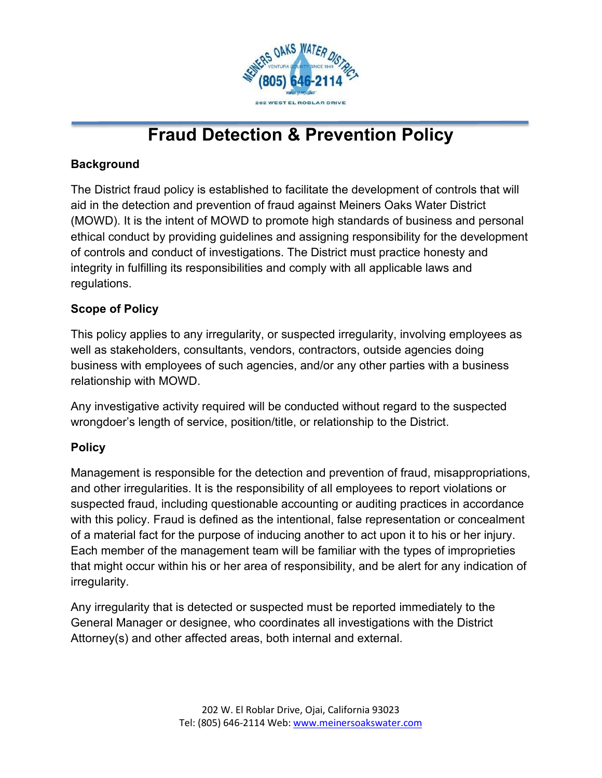

# **Fraud Detection & Prevention Policy**

### **Background**

The District fraud policy is established to facilitate the development of controls that will aid in the detection and prevention of fraud against Meiners Oaks Water District (MOWD). It is the intent of MOWD to promote high standards of business and personal ethical conduct by providing guidelines and assigning responsibility for the development of controls and conduct of investigations. The District must practice honesty and integrity in fulfilling its responsibilities and comply with all applicable laws and regulations.

#### **Scope of Policy**

This policy applies to any irregularity, or suspected irregularity, involving employees as well as stakeholders, consultants, vendors, contractors, outside agencies doing business with employees of such agencies, and/or any other parties with a business relationship with MOWD.

Any investigative activity required will be conducted without regard to the suspected wrongdoer's length of service, position/title, or relationship to the District.

#### **Policy**

Management is responsible for the detection and prevention of fraud, misappropriations, and other irregularities. It is the responsibility of all employees to report violations or suspected fraud, including questionable accounting or auditing practices in accordance with this policy. Fraud is defined as the intentional, false representation or concealment of a material fact for the purpose of inducing another to act upon it to his or her injury. Each member of the management team will be familiar with the types of improprieties that might occur within his or her area of responsibility, and be alert for any indication of irregularity.

Any irregularity that is detected or suspected must be reported immediately to the General Manager or designee, who coordinates all investigations with the District Attorney(s) and other affected areas, both internal and external.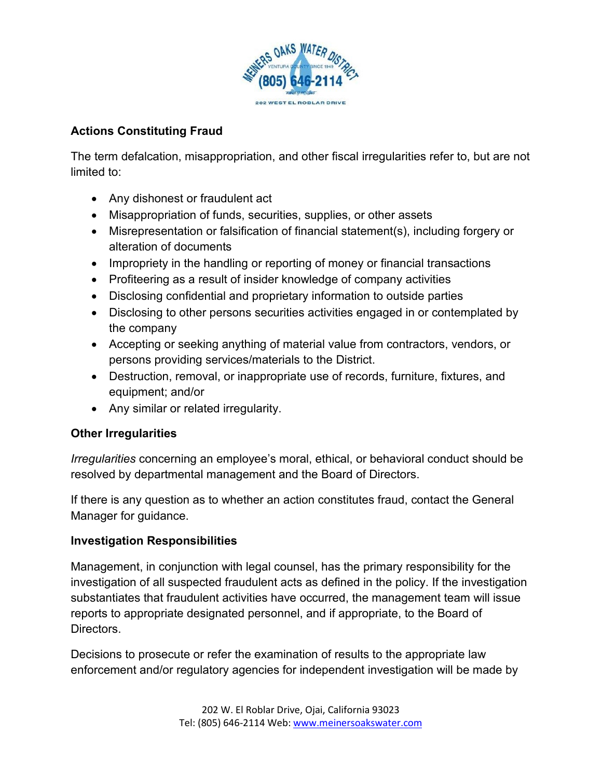

#### **Actions Constituting Fraud**

The term defalcation, misappropriation, and other fiscal irregularities refer to, but are not limited to:

- Any dishonest or fraudulent act
- Misappropriation of funds, securities, supplies, or other assets
- Misrepresentation or falsification of financial statement(s), including forgery or alteration of documents
- Impropriety in the handling or reporting of money or financial transactions
- Profiteering as a result of insider knowledge of company activities
- Disclosing confidential and proprietary information to outside parties
- Disclosing to other persons securities activities engaged in or contemplated by the company
- Accepting or seeking anything of material value from contractors, vendors, or persons providing services/materials to the District.
- Destruction, removal, or inappropriate use of records, furniture, fixtures, and equipment; and/or
- Any similar or related irregularity.

#### **Other Irregularities**

*Irregularities* concerning an employee's moral, ethical, or behavioral conduct should be resolved by departmental management and the Board of Directors.

If there is any question as to whether an action constitutes fraud, contact the General Manager for guidance.

#### **Investigation Responsibilities**

Management, in conjunction with legal counsel, has the primary responsibility for the investigation of all suspected fraudulent acts as defined in the policy. If the investigation substantiates that fraudulent activities have occurred, the management team will issue reports to appropriate designated personnel, and if appropriate, to the Board of Directors.

Decisions to prosecute or refer the examination of results to the appropriate law enforcement and/or regulatory agencies for independent investigation will be made by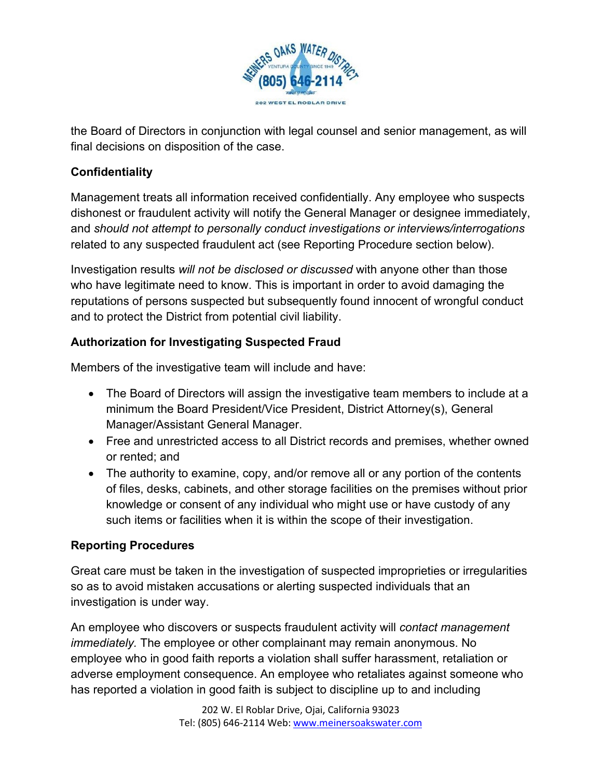

the Board of Directors in conjunction with legal counsel and senior management, as will final decisions on disposition of the case.

#### **Confidentiality**

Management treats all information received confidentially. Any employee who suspects dishonest or fraudulent activity will notify the General Manager or designee immediately, and *should not attempt to personally conduct investigations or interviews/interrogations* related to any suspected fraudulent act (see Reporting Procedure section below).

Investigation results *will not be disclosed or discussed* with anyone other than those who have legitimate need to know. This is important in order to avoid damaging the reputations of persons suspected but subsequently found innocent of wrongful conduct and to protect the District from potential civil liability.

## **Authorization for Investigating Suspected Fraud**

Members of the investigative team will include and have:

- The Board of Directors will assign the investigative team members to include at a minimum the Board President/Vice President, District Attorney(s), General Manager/Assistant General Manager.
- Free and unrestricted access to all District records and premises, whether owned or rented; and
- The authority to examine, copy, and/or remove all or any portion of the contents of files, desks, cabinets, and other storage facilities on the premises without prior knowledge or consent of any individual who might use or have custody of any such items or facilities when it is within the scope of their investigation.

## **Reporting Procedures**

Great care must be taken in the investigation of suspected improprieties or irregularities so as to avoid mistaken accusations or alerting suspected individuals that an investigation is under way.

An employee who discovers or suspects fraudulent activity will *contact management immediately.* The employee or other complainant may remain anonymous. No employee who in good faith reports a violation shall suffer harassment, retaliation or adverse employment consequence. An employee who retaliates against someone who has reported a violation in good faith is subject to discipline up to and including